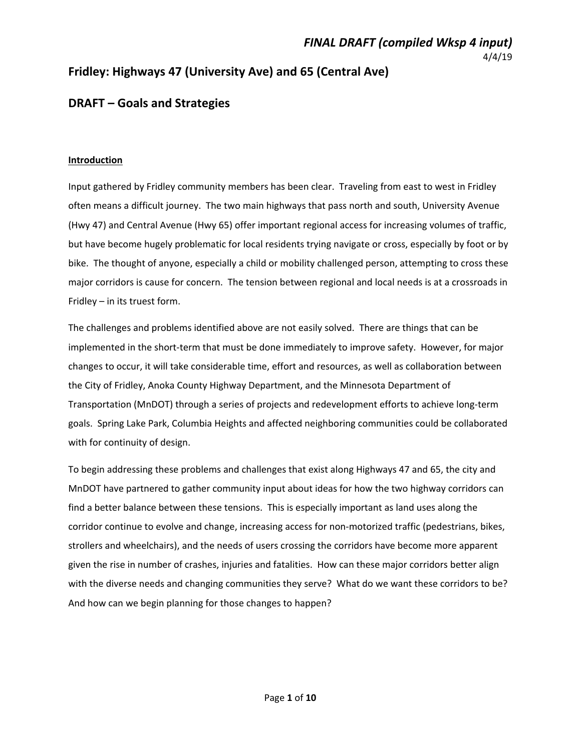#### *FINAL DRAFT (compiled Wksp 4 input)*  4/4/19

## **Fridley: Highways 47 (University Ave) and 65 (Central Ave)**

## **DRAFT – Goals and Strategies**

#### **Introduction**

Input gathered by Fridley community members has been clear. Traveling from east to west in Fridley often means a difficult journey. The two main highways that pass north and south, University Avenue (Hwy 47) and Central Avenue (Hwy 65) offer important regional access for increasing volumes of traffic, but have become hugely problematic for local residents trying navigate or cross, especially by foot or by bike. The thought of anyone, especially a child or mobility challenged person, attempting to cross these major corridors is cause for concern. The tension between regional and local needs is at a crossroads in Fridley – in its truest form.

The challenges and problems identified above are not easily solved. There are things that can be implemented in the short-term that must be done immediately to improve safety. However, for major changes to occur, it will take considerable time, effort and resources, as well as collaboration between the City of Fridley, Anoka County Highway Department, and the Minnesota Department of Transportation (MnDOT) through a series of projects and redevelopment efforts to achieve long‐term goals. Spring Lake Park, Columbia Heights and affected neighboring communities could be collaborated with for continuity of design.

To begin addressing these problems and challenges that exist along Highways 47 and 65, the city and MnDOT have partnered to gather community input about ideas for how the two highway corridors can find a better balance between these tensions. This is especially important as land uses along the corridor continue to evolve and change, increasing access for non‐motorized traffic (pedestrians, bikes, strollers and wheelchairs), and the needs of users crossing the corridors have become more apparent given the rise in number of crashes, injuries and fatalities. How can these major corridors better align with the diverse needs and changing communities they serve? What do we want these corridors to be? And how can we begin planning for those changes to happen?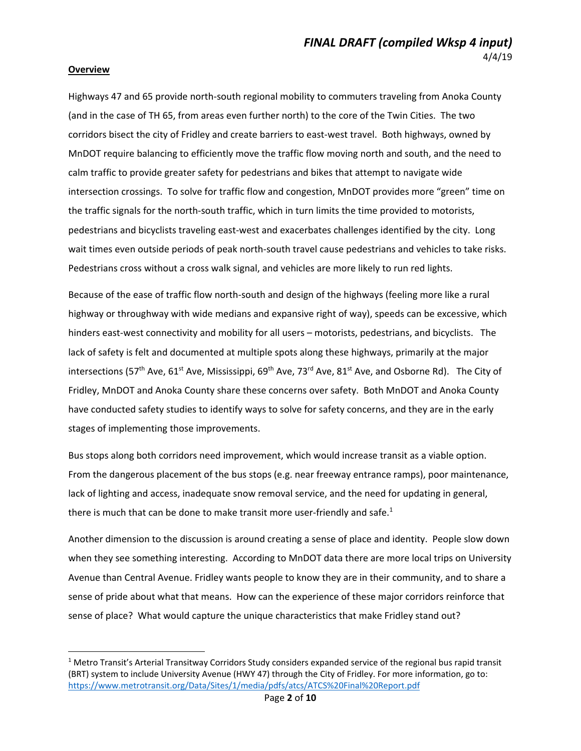#### **Overview**

Highways 47 and 65 provide north‐south regional mobility to commuters traveling from Anoka County (and in the case of TH 65, from areas even further north) to the core of the Twin Cities. The two corridors bisect the city of Fridley and create barriers to east-west travel. Both highways, owned by MnDOT require balancing to efficiently move the traffic flow moving north and south, and the need to calm traffic to provide greater safety for pedestrians and bikes that attempt to navigate wide intersection crossings. To solve for traffic flow and congestion, MnDOT provides more "green" time on the traffic signals for the north‐south traffic, which in turn limits the time provided to motorists, pedestrians and bicyclists traveling east-west and exacerbates challenges identified by the city. Long wait times even outside periods of peak north-south travel cause pedestrians and vehicles to take risks. Pedestrians cross without a cross walk signal, and vehicles are more likely to run red lights.

Because of the ease of traffic flow north‐south and design of the highways (feeling more like a rural highway or throughway with wide medians and expansive right of way), speeds can be excessive, which hinders east-west connectivity and mobility for all users – motorists, pedestrians, and bicyclists. The lack of safety is felt and documented at multiple spots along these highways, primarily at the major intersections (57<sup>th</sup> Ave, 61<sup>st</sup> Ave, Mississippi, 69<sup>th</sup> Ave, 73<sup>rd</sup> Ave, 81<sup>st</sup> Ave, and Osborne Rd). The City of Fridley, MnDOT and Anoka County share these concerns over safety. Both MnDOT and Anoka County have conducted safety studies to identify ways to solve for safety concerns, and they are in the early stages of implementing those improvements.

Bus stops along both corridors need improvement, which would increase transit as a viable option. From the dangerous placement of the bus stops (e.g. near freeway entrance ramps), poor maintenance, lack of lighting and access, inadequate snow removal service, and the need for updating in general, there is much that can be done to make transit more user-friendly and safe.<sup>1</sup>

Another dimension to the discussion is around creating a sense of place and identity. People slow down when they see something interesting. According to MnDOT data there are more local trips on University Avenue than Central Avenue. Fridley wants people to know they are in their community, and to share a sense of pride about what that means. How can the experience of these major corridors reinforce that sense of place? What would capture the unique characteristics that make Fridley stand out?

<sup>&</sup>lt;sup>1</sup> Metro Transit's Arterial Transitway Corridors Study considers expanded service of the regional bus rapid transit (BRT) system to include University Avenue (HWY 47) through the City of Fridley. For more information, go to: https://www.metrotransit.org/Data/Sites/1/media/pdfs/atcs/ATCS%20Final%20Report.pdf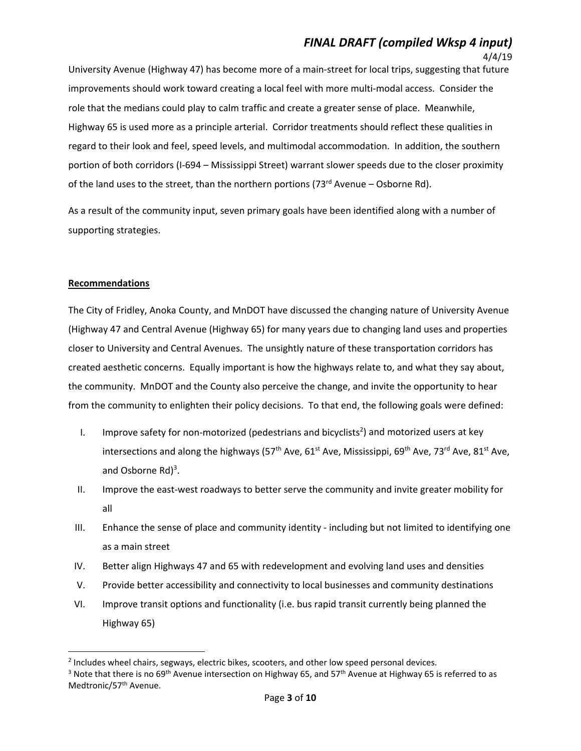## *FINAL DRAFT (compiled Wksp 4 input)*

4/4/19

University Avenue (Highway 47) has become more of a main‐street for local trips, suggesting that future improvements should work toward creating a local feel with more multi-modal access. Consider the role that the medians could play to calm traffic and create a greater sense of place. Meanwhile, Highway 65 is used more as a principle arterial. Corridor treatments should reflect these qualities in regard to their look and feel, speed levels, and multimodal accommodation. In addition, the southern portion of both corridors (I‐694 – Mississippi Street) warrant slower speeds due to the closer proximity of the land uses to the street, than the northern portions (73<sup>rd</sup> Avenue – Osborne Rd).

As a result of the community input, seven primary goals have been identified along with a number of supporting strategies.

#### **Recommendations**

The City of Fridley, Anoka County, and MnDOT have discussed the changing nature of University Avenue (Highway 47 and Central Avenue (Highway 65) for many years due to changing land uses and properties closer to University and Central Avenues. The unsightly nature of these transportation corridors has created aesthetic concerns. Equally important is how the highways relate to, and what they say about, the community. MnDOT and the County also perceive the change, and invite the opportunity to hear from the community to enlighten their policy decisions. To that end, the following goals were defined:

- I. Improve safety for non-motorized (pedestrians and bicyclists<sup>2</sup>) and motorized users at key intersections and along the highways (57<sup>th</sup> Ave, 61<sup>st</sup> Ave, Mississippi, 69<sup>th</sup> Ave, 73<sup>rd</sup> Ave, 81<sup>st</sup> Ave, and Osborne Rd)<sup>3</sup>.
- II. Improve the east-west roadways to better serve the community and invite greater mobility for all
- III. Enhance the sense of place and community identity ‐ including but not limited to identifying one as a main street
- IV. Better align Highways 47 and 65 with redevelopment and evolving land uses and densities
- V. Provide better accessibility and connectivity to local businesses and community destinations
- VI. Improve transit options and functionality (i.e. bus rapid transit currently being planned the Highway 65)

<sup>&</sup>lt;sup>2</sup> Includes wheel chairs, segways, electric bikes, scooters, and other low speed personal devices.

<sup>&</sup>lt;sup>3</sup> Note that there is no 69<sup>th</sup> Avenue intersection on Highway 65, and 57<sup>th</sup> Avenue at Highway 65 is referred to as Medtronic/57<sup>th</sup> Avenue.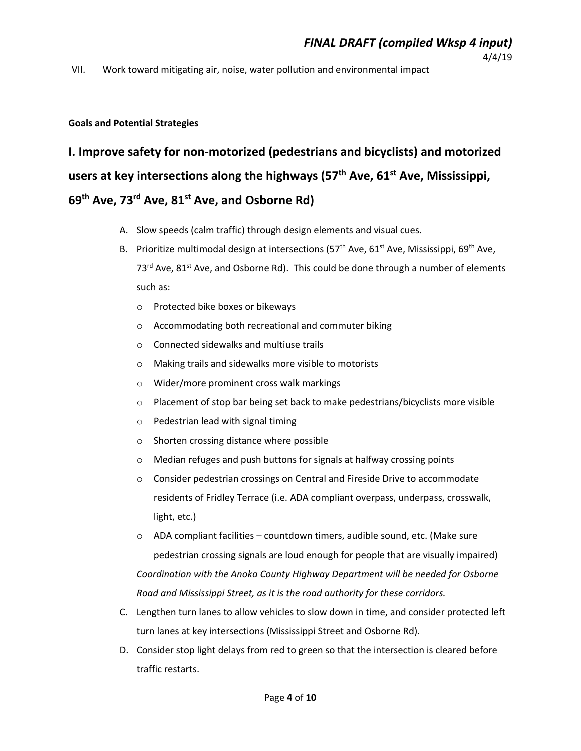#### VII. Work toward mitigating air, noise, water pollution and environmental impact

#### **Goals and Potential Strategies**

# **I. Improve safety for non‐motorized (pedestrians and bicyclists) and motorized**  users at key intersections along the highways (57<sup>th</sup> Ave, 61<sup>st</sup> Ave, Mississippi, **69th Ave, 73rd Ave, 81st Ave, and Osborne Rd)**

- A. Slow speeds (calm traffic) through design elements and visual cues.
- B. Prioritize multimodal design at intersections (57<sup>th</sup> Ave, 61<sup>st</sup> Ave, Mississippi, 69<sup>th</sup> Ave,  $73<sup>rd</sup>$  Ave,  $81<sup>st</sup>$  Ave, and Osborne Rd). This could be done through a number of elements such as:
	- o Protected bike boxes or bikeways
	- o Accommodating both recreational and commuter biking
	- o Connected sidewalks and multiuse trails
	- o Making trails and sidewalks more visible to motorists
	- o Wider/more prominent cross walk markings
	- $\circ$  Placement of stop bar being set back to make pedestrians/bicyclists more visible
	- o Pedestrian lead with signal timing
	- o Shorten crossing distance where possible
	- o Median refuges and push buttons for signals at halfway crossing points
	- o Consider pedestrian crossings on Central and Fireside Drive to accommodate residents of Fridley Terrace (i.e. ADA compliant overpass, underpass, crosswalk, light, etc.)
	- $\circ$  ADA compliant facilities countdown timers, audible sound, etc. (Make sure pedestrian crossing signals are loud enough for people that are visually impaired) *Coordination with the Anoka County Highway Department will be needed for Osborne Road and Mississippi Street, as it is the road authority for these corridors.*
- C. Lengthen turn lanes to allow vehicles to slow down in time, and consider protected left turn lanes at key intersections (Mississippi Street and Osborne Rd).
- D. Consider stop light delays from red to green so that the intersection is cleared before traffic restarts.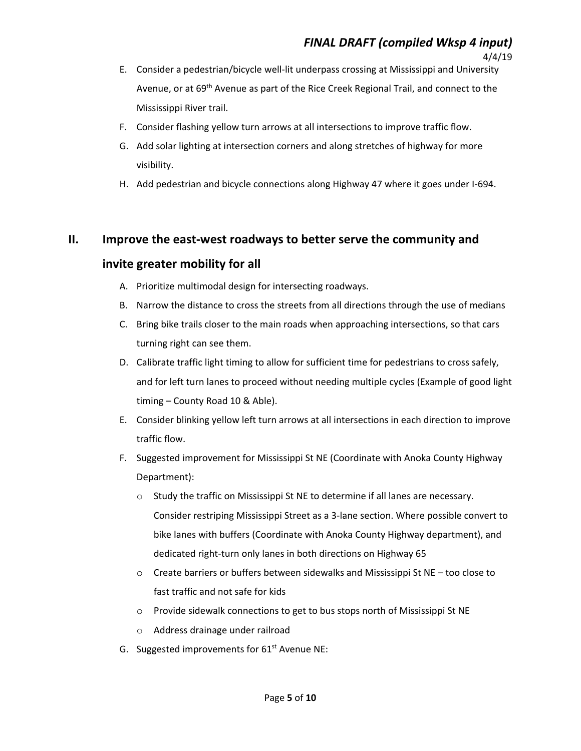- E. Consider a pedestrian/bicycle well‐lit underpass crossing at Mississippi and University Avenue, or at 69<sup>th</sup> Avenue as part of the Rice Creek Regional Trail, and connect to the Mississippi River trail.
- F. Consider flashing yellow turn arrows at all intersections to improve traffic flow.
- G. Add solar lighting at intersection corners and along stretches of highway for more visibility.
- H. Add pedestrian and bicycle connections along Highway 47 where it goes under I‐694.

### **II. Improve the east‐west roadways to better serve the community and**

### **invite greater mobility for all**

- A. Prioritize multimodal design for intersecting roadways.
- B. Narrow the distance to cross the streets from all directions through the use of medians
- C. Bring bike trails closer to the main roads when approaching intersections, so that cars turning right can see them.
- D. Calibrate traffic light timing to allow for sufficient time for pedestrians to cross safely, and for left turn lanes to proceed without needing multiple cycles (Example of good light timing – County Road 10 & Able).
- E. Consider blinking yellow left turn arrows at all intersections in each direction to improve traffic flow.
- F. Suggested improvement for Mississippi St NE (Coordinate with Anoka County Highway Department):
	- $\circ$  Study the traffic on Mississippi St NE to determine if all lanes are necessary. Consider restriping Mississippi Street as a 3‐lane section. Where possible convert to bike lanes with buffers (Coordinate with Anoka County Highway department), and dedicated right‐turn only lanes in both directions on Highway 65
	- $\circ$  Create barriers or buffers between sidewalks and Mississippi St NE too close to fast traffic and not safe for kids
	- $\circ$  Provide sidewalk connections to get to bus stops north of Mississippi St NE
	- o Address drainage under railroad
- G. Suggested improvements for  $61<sup>st</sup>$  Avenue NE: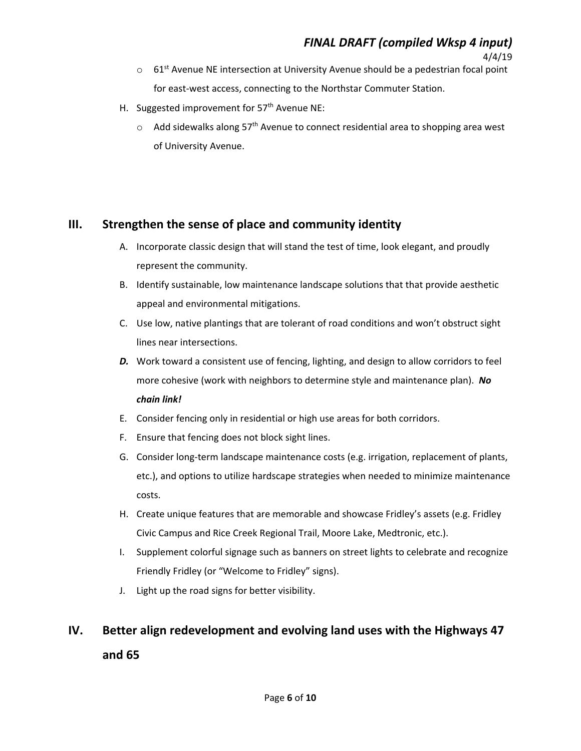4/4/19

- $\circ$  61<sup>st</sup> Avenue NE intersection at University Avenue should be a pedestrian focal point for east-west access, connecting to the Northstar Commuter Station.
- H. Suggested improvement for 57<sup>th</sup> Avenue NE:
	- $\circ$  Add sidewalks along 57<sup>th</sup> Avenue to connect residential area to shopping area west of University Avenue.

### **III. Strengthen the sense of place and community identity**

- A. Incorporate classic design that will stand the test of time, look elegant, and proudly represent the community.
- B. Identify sustainable, low maintenance landscape solutions that that provide aesthetic appeal and environmental mitigations.
- C. Use low, native plantings that are tolerant of road conditions and won't obstruct sight lines near intersections.
- *D.* Work toward a consistent use of fencing, lighting, and design to allow corridors to feel more cohesive (work with neighbors to determine style and maintenance plan). *No chain link!*
- E. Consider fencing only in residential or high use areas for both corridors.
- F. Ensure that fencing does not block sight lines.
- G. Consider long‐term landscape maintenance costs (e.g. irrigation, replacement of plants, etc.), and options to utilize hardscape strategies when needed to minimize maintenance costs.
- H. Create unique features that are memorable and showcase Fridley's assets (e.g. Fridley Civic Campus and Rice Creek Regional Trail, Moore Lake, Medtronic, etc.).
- I. Supplement colorful signage such as banners on street lights to celebrate and recognize Friendly Fridley (or "Welcome to Fridley" signs).
- J. Light up the road signs for better visibility.

## **IV. Better align redevelopment and evolving land uses with the Highways 47 and 65**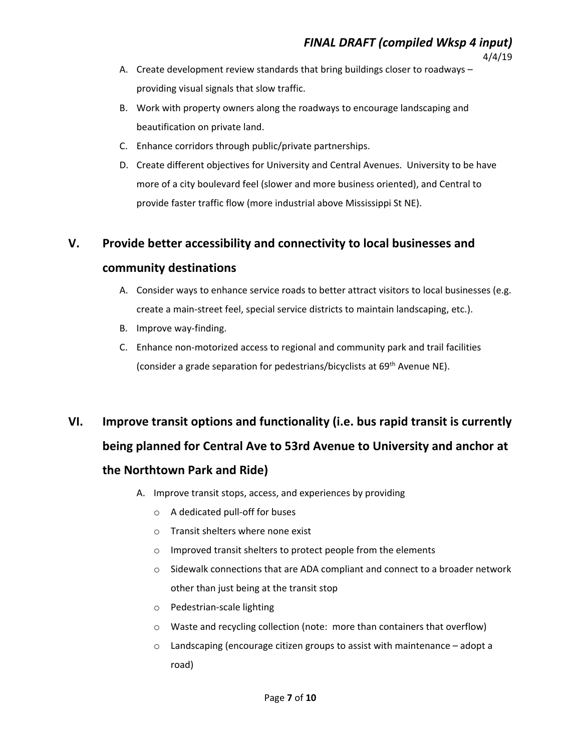- 4/4/19 A. Create development review standards that bring buildings closer to roadways –
	- providing visual signals that slow traffic.
- B. Work with property owners along the roadways to encourage landscaping and beautification on private land.
- C. Enhance corridors through public/private partnerships.
- D. Create different objectives for University and Central Avenues. University to be have more of a city boulevard feel (slower and more business oriented), and Central to provide faster traffic flow (more industrial above Mississippi St NE).

#### **V. Provide better accessibility and connectivity to local businesses and**

#### **community destinations**

- A. Consider ways to enhance service roads to better attract visitors to local businesses (e.g. create a main‐street feel, special service districts to maintain landscaping, etc.).
- B. Improve way-finding.
- C. Enhance non‐motorized access to regional and community park and trail facilities (consider a grade separation for pedestrians/bicyclists at 69<sup>th</sup> Avenue NE).

# **VI. Improve transit options and functionality (i.e. bus rapid transit is currently being planned for Central Ave to 53rd Avenue to University and anchor at the Northtown Park and Ride)**

- A. Improve transit stops, access, and experiences by providing
	- o A dedicated pull‐off for buses
	- o Transit shelters where none exist
	- o Improved transit shelters to protect people from the elements
	- o Sidewalk connections that are ADA compliant and connect to a broader network other than just being at the transit stop
	- o Pedestrian‐scale lighting
	- o Waste and recycling collection (note: more than containers that overflow)
	- $\circ$  Landscaping (encourage citizen groups to assist with maintenance adopt a road)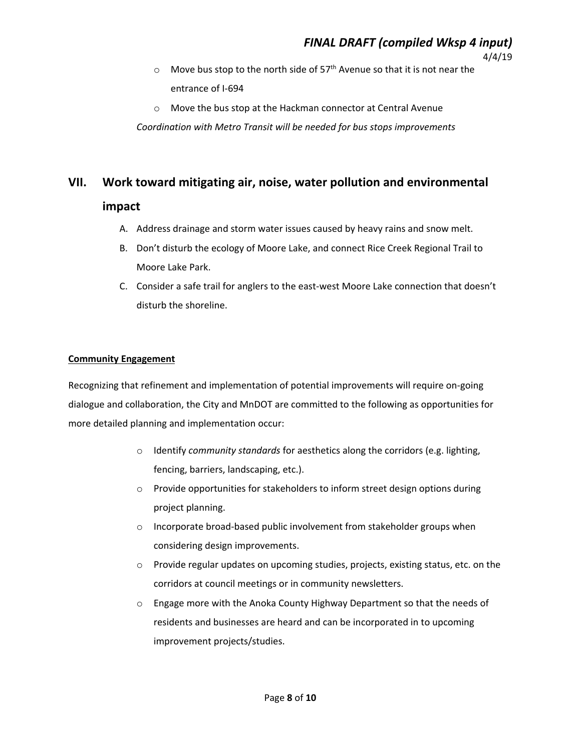- $\circ$  Move bus stop to the north side of 57<sup>th</sup> Avenue so that it is not near the entrance of I‐694
- o Move the bus stop at the Hackman connector at Central Avenue

*Coordination with Metro Transit will be needed for bus stops improvements* 

## **VII. Work toward mitigating air, noise, water pollution and environmental**

#### **impact**

- A. Address drainage and storm water issues caused by heavy rains and snow melt.
- B. Don't disturb the ecology of Moore Lake, and connect Rice Creek Regional Trail to Moore Lake Park.
- C. Consider a safe trail for anglers to the east‐west Moore Lake connection that doesn't disturb the shoreline.

#### **Community Engagement**

Recognizing that refinement and implementation of potential improvements will require on‐going dialogue and collaboration, the City and MnDOT are committed to the following as opportunities for more detailed planning and implementation occur:

- o Identify *community standards* for aesthetics along the corridors (e.g. lighting, fencing, barriers, landscaping, etc.).
- o Provide opportunities for stakeholders to inform street design options during project planning.
- o Incorporate broad‐based public involvement from stakeholder groups when considering design improvements.
- o Provide regular updates on upcoming studies, projects, existing status, etc. on the corridors at council meetings or in community newsletters.
- o Engage more with the Anoka County Highway Department so that the needs of residents and businesses are heard and can be incorporated in to upcoming improvement projects/studies.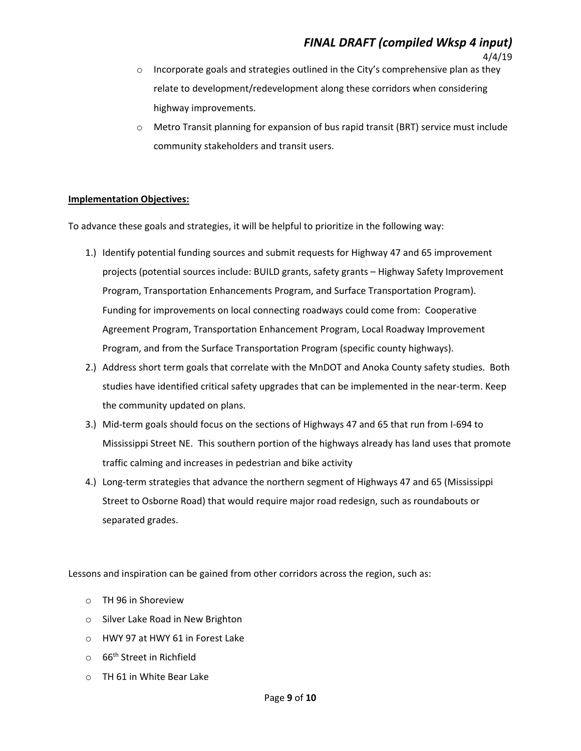- $\circ$  Incorporate goals and strategies outlined in the City's comprehensive plan as they relate to development/redevelopment along these corridors when considering highway improvements.
- Metro Transit planning for expansion of bus rapid transit (BRT) service must include community stakeholders and transit users.

#### **Implementation Objectives:**

To advance these goals and strategies, it will be helpful to prioritize in the following way:

- 1.) Identify potential funding sources and submit requests for Highway 47 and 65 improvement projects (potential sources include: BUILD grants, safety grants – Highway Safety Improvement Program, Transportation Enhancements Program, and Surface Transportation Program). Funding for improvements on local connecting roadways could come from: Cooperative Agreement Program, Transportation Enhancement Program, Local Roadway Improvement Program, and from the Surface Transportation Program (specific county highways).
- 2.) Address short term goals that correlate with the MnDOT and Anoka County safety studies. Both studies have identified critical safety upgrades that can be implemented in the near-term. Keep the community updated on plans.
- 3.) Mid‐term goals should focus on the sections of Highways 47 and 65 that run from I‐694 to Mississippi Street NE. This southern portion of the highways already has land uses that promote traffic calming and increases in pedestrian and bike activity
- 4.) Long-term strategies that advance the northern segment of Highways 47 and 65 (Mississippi Street to Osborne Road) that would require major road redesign, such as roundabouts or separated grades.

Lessons and inspiration can be gained from other corridors across the region, such as:

- o TH 96 in Shoreview
- o Silver Lake Road in New Brighton
- o HWY 97 at HWY 61 in Forest Lake
- o 66th Street in Richfield
- o TH 61 in White Bear Lake